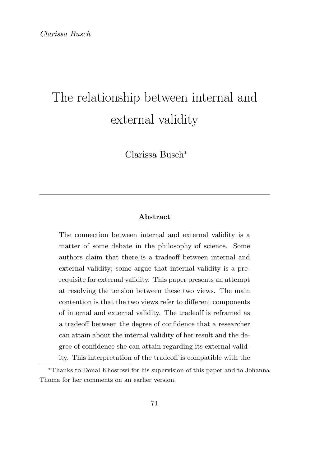# The relationship between internal and external validity

Clarissa Busch<sup>∗</sup>

#### Abstract

The connection between internal and external validity is a matter of some debate in the philosophy of science. Some authors claim that there is a tradeoff between internal and external validity; some argue that internal validity is a prerequisite for external validity. This paper presents an attempt at resolving the tension between these two views. The main contention is that the two views refer to different components of internal and external validity. The tradeoff is reframed as a tradeoff between the degree of confidence that a researcher can attain about the internal validity of her result and the degree of confidence she can attain regarding its external validity. This interpretation of the tradeoff is compatible with the

<sup>∗</sup>Thanks to Donal Khosrowi for his supervision of this paper and to Johanna Thoma for her comments on an earlier version.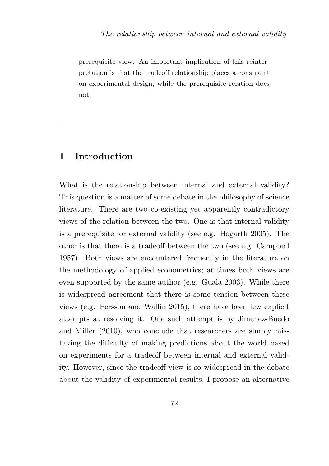prerequisite view. An important implication of this reinterpretation is that the tradeoff relationship places a constraint on experimental design, while the prerequisite relation does not.

# 1 Introduction

What is the relationship between internal and external validity? This question is a matter of some debate in the philosophy of science literature. There are two co-existing yet apparently contradictory views of the relation between the two. One is that internal validity is a prerequisite for external validity (see e.g. Hogarth 2005). The other is that there is a tradeoff between the two (see e.g. Campbell 1957). Both views are encountered frequently in the literature on the methodology of applied econometrics; at times both views are even supported by the same author (e.g. Guala 2003). While there is widespread agreement that there is some tension between these views (e.g. Persson and Wallin 2015), there have been few explicit attempts at resolving it. One such attempt is by Jimenez-Buedo and Miller (2010), who conclude that researchers are simply mistaking the difficulty of making predictions about the world based on experiments for a tradeoff between internal and external validity. However, since the tradeoff view is so widespread in the debate about the validity of experimental results, I propose an alternative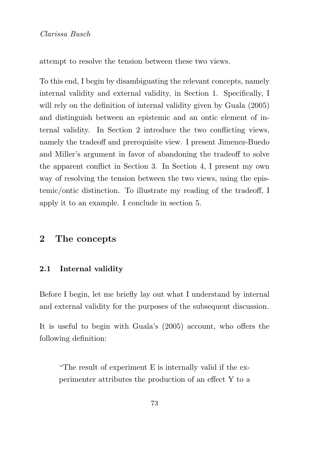attempt to resolve the tension between these two views.

To this end, I begin by disambiguating the relevant concepts, namely internal validity and external validity, in Section 1. Specifically, I will rely on the definition of internal validity given by Guala (2005) and distinguish between an epistemic and an ontic element of internal validity. In Section 2 introduce the two conflicting views, namely the tradeoff and prerequisite view. I present Jimenez-Buedo and Miller's argument in favor of abandoning the tradeoff to solve the apparent conflict in Section 3. In Section 4, I present my own way of resolving the tension between the two views, using the epistemic/ontic distinction. To illustrate my reading of the tradeoff, I apply it to an example. I conclude in section 5.

## 2 The concepts

#### 2.1 Internal validity

Before I begin, let me briefly lay out what I understand by internal and external validity for the purposes of the subsequent discussion.

It is useful to begin with Guala's (2005) account, who offers the following definition:

"The result of experiment E is internally valid if the experimenter attributes the production of an effect Y to a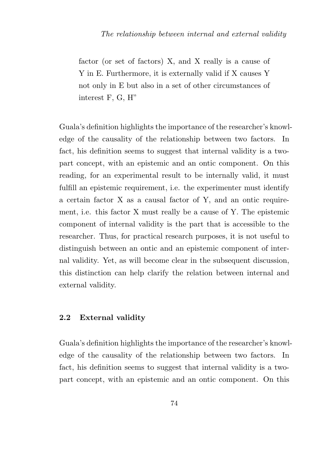factor (or set of factors) X, and X really is a cause of Y in E. Furthermore, it is externally valid if X causes Y not only in E but also in a set of other circumstances of interest F, G, H"

Guala's definition highlights the importance of the researcher's knowledge of the causality of the relationship between two factors. In fact, his definition seems to suggest that internal validity is a twopart concept, with an epistemic and an ontic component. On this reading, for an experimental result to be internally valid, it must fulfill an epistemic requirement, i.e. the experimenter must identify a certain factor X as a causal factor of Y, and an ontic requirement, i.e. this factor X must really be a cause of Y. The epistemic component of internal validity is the part that is accessible to the researcher. Thus, for practical research purposes, it is not useful to distinguish between an ontic and an epistemic component of internal validity. Yet, as will become clear in the subsequent discussion. this distinction can help clarify the relation between internal and external validity.

#### 2.2 External validity

Guala's definition highlights the importance of the researcher's knowledge of the causality of the relationship between two factors. In fact, his definition seems to suggest that internal validity is a twopart concept, with an epistemic and an ontic component. On this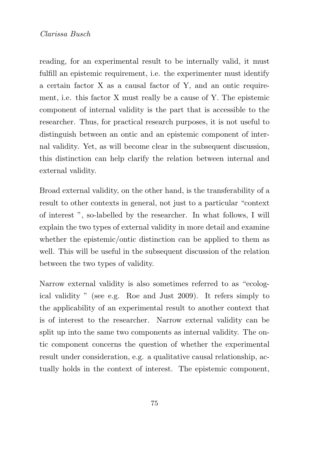reading, for an experimental result to be internally valid, it must fulfill an epistemic requirement, i.e. the experimenter must identify a certain factor X as a causal factor of Y, and an ontic requirement, i.e. this factor X must really be a cause of Y. The epistemic component of internal validity is the part that is accessible to the researcher. Thus, for practical research purposes, it is not useful to distinguish between an ontic and an epistemic component of internal validity. Yet, as will become clear in the subsequent discussion, this distinction can help clarify the relation between internal and external validity.

Broad external validity, on the other hand, is the transferability of a result to other contexts in general, not just to a particular "context of interest ", so-labelled by the researcher. In what follows, I will explain the two types of external validity in more detail and examine whether the epistemic/ontic distinction can be applied to them as well. This will be useful in the subsequent discussion of the relation between the two types of validity.

Narrow external validity is also sometimes referred to as "ecological validity " (see e.g. Roe and Just 2009). It refers simply to the applicability of an experimental result to another context that is of interest to the researcher. Narrow external validity can be split up into the same two components as internal validity. The ontic component concerns the question of whether the experimental result under consideration, e.g. a qualitative causal relationship, actually holds in the context of interest. The epistemic component,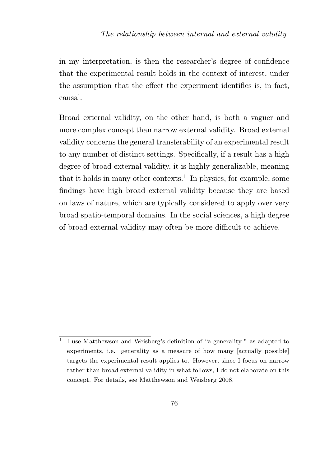in my interpretation, is then the researcher's degree of confidence that the experimental result holds in the context of interest, under the assumption that the effect the experiment identifies is, in fact, causal.

Broad external validity, on the other hand, is both a vaguer and more complex concept than narrow external validity. Broad external validity concerns the general transferability of an experimental result to any number of distinct settings. Specifically, if a result has a high degree of broad external validity, it is highly generalizable, meaning that it holds in many other contexts.<sup>1</sup> In physics, for example, some findings have high broad external validity because they are based on laws of nature, which are typically considered to apply over very broad spatio-temporal domains. In the social sciences, a high degree of broad external validity may often be more difficult to achieve.

<sup>1</sup> I use Matthewson and Weisberg's definition of "a-generality " as adapted to experiments, i.e. generality as a measure of how many [actually possible] targets the experimental result applies to. However, since I focus on narrow rather than broad external validity in what follows, I do not elaborate on this concept. For details, see Matthewson and Weisberg 2008.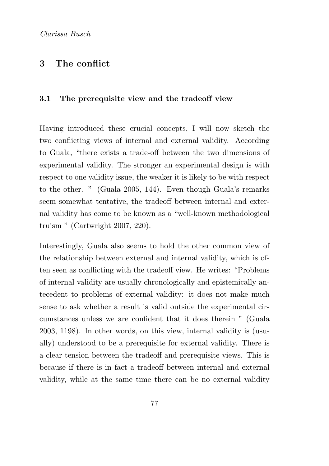# 3 The conflict

#### 3.1 The prerequisite view and the tradeoff view

Having introduced these crucial concepts, I will now sketch the two conflicting views of internal and external validity. According to Guala, "there exists a trade-off between the two dimensions of experimental validity. The stronger an experimental design is with respect to one validity issue, the weaker it is likely to be with respect to the other. " (Guala 2005, 144). Even though Guala's remarks seem somewhat tentative, the tradeoff between internal and external validity has come to be known as a "well-known methodological truism " (Cartwright 2007, 220).

Interestingly, Guala also seems to hold the other common view of the relationship between external and internal validity, which is often seen as conflicting with the tradeoff view. He writes: "Problems of internal validity are usually chronologically and epistemically antecedent to problems of external validity: it does not make much sense to ask whether a result is valid outside the experimental circumstances unless we are confident that it does therein " (Guala 2003, 1198). In other words, on this view, internal validity is (usually) understood to be a prerequisite for external validity. There is a clear tension between the tradeoff and prerequisite views. This is because if there is in fact a tradeoff between internal and external validity, while at the same time there can be no external validity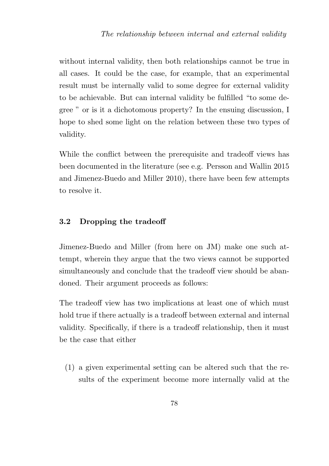without internal validity, then both relationships cannot be true in all cases. It could be the case, for example, that an experimental result must be internally valid to some degree for external validity to be achievable. But can internal validity be fulfilled "to some degree " or is it a dichotomous property? In the ensuing discussion, I hope to shed some light on the relation between these two types of validity.

While the conflict between the prerequisite and tradeoff views has been documented in the literature (see e.g. Persson and Wallin 2015 and Jimenez-Buedo and Miller 2010), there have been few attempts to resolve it.

#### 3.2 Dropping the tradeoff

Jimenez-Buedo and Miller (from here on JM) make one such attempt, wherein they argue that the two views cannot be supported simultaneously and conclude that the tradeoff view should be abandoned. Their argument proceeds as follows:

The tradeoff view has two implications at least one of which must hold true if there actually is a tradeoff between external and internal validity. Specifically, if there is a tradeoff relationship, then it must be the case that either

(1) a given experimental setting can be altered such that the results of the experiment become more internally valid at the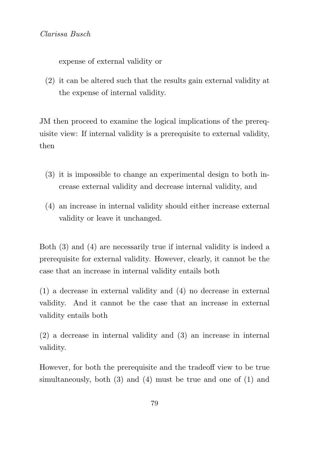expense of external validity or

(2) it can be altered such that the results gain external validity at the expense of internal validity.

JM then proceed to examine the logical implications of the prerequisite view: If internal validity is a prerequisite to external validity, then

- (3) it is impossible to change an experimental design to both increase external validity and decrease internal validity, and
- (4) an increase in internal validity should either increase external validity or leave it unchanged.

Both (3) and (4) are necessarily true if internal validity is indeed a prerequisite for external validity. However, clearly, it cannot be the case that an increase in internal validity entails both

(1) a decrease in external validity and (4) no decrease in external validity. And it cannot be the case that an increase in external validity entails both

(2) a decrease in internal validity and (3) an increase in internal validity.

However, for both the prerequisite and the tradeoff view to be true simultaneously, both (3) and (4) must be true and one of (1) and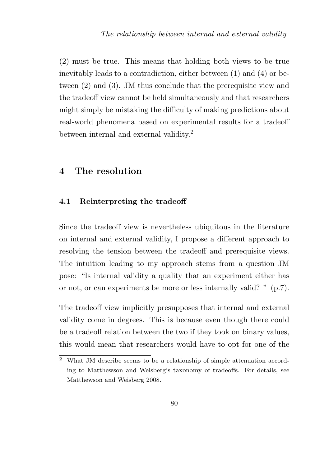(2) must be true. This means that holding both views to be true inevitably leads to a contradiction, either between (1) and (4) or between (2) and (3). JM thus conclude that the prerequisite view and the tradeoff view cannot be held simultaneously and that researchers might simply be mistaking the difficulty of making predictions about real-world phenomena based on experimental results for a tradeoff between internal and external validity.<sup>2</sup>

# 4 The resolution

#### 4.1 Reinterpreting the tradeoff

Since the tradeoff view is nevertheless ubiquitous in the literature on internal and external validity, I propose a different approach to resolving the tension between the tradeoff and prerequisite views. The intuition leading to my approach stems from a question JM pose: "Is internal validity a quality that an experiment either has or not, or can experiments be more or less internally valid? " (p.7).

The tradeoff view implicitly presupposes that internal and external validity come in degrees. This is because even though there could be a tradeoff relation between the two if they took on binary values, this would mean that researchers would have to opt for one of the

<sup>2</sup> What JM describe seems to be a relationship of simple attenuation according to Matthewson and Weisberg's taxonomy of tradeoffs. For details, see Matthewson and Weisberg 2008.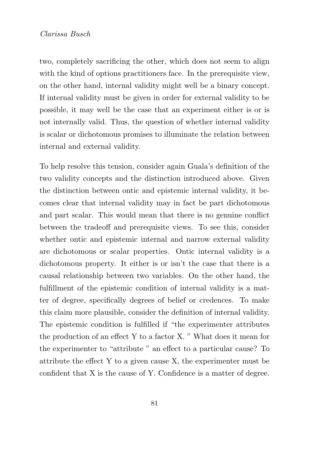two, completely sacrificing the other, which does not seem to align with the kind of options practitioners face. In the prerequisite view, on the other hand, internal validity might well be a binary concept. If internal validity must be given in order for external validity to be possible, it may well be the case that an experiment either is or is not internally valid. Thus, the question of whether internal validity is scalar or dichotomous promises to illuminate the relation between internal and external validity.

To help resolve this tension, consider again Guala's definition of the two validity concepts and the distinction introduced above. Given the distinction between ontic and epistemic internal validity, it becomes clear that internal validity may in fact be part dichotomous and part scalar. This would mean that there is no genuine conflict between the tradeoff and prerequisite views. To see this, consider whether ontic and epistemic internal and narrow external validity are dichotomous or scalar properties. Ontic internal validity is a dichotomous property. It either is or isn't the case that there is a causal relationship between two variables. On the other hand, the fulfillment of the epistemic condition of internal validity is a matter of degree, specifically degrees of belief or credences. To make this claim more plausible, consider the definition of internal validity. The epistemic condition is fulfilled if "the experimenter attributes the production of an effect Y to a factor X. " What does it mean for the experimenter to "attribute " an effect to a particular cause? To attribute the effect Y to a given cause X, the experimenter must be confident that X is the cause of Y. Confidence is a matter of degree.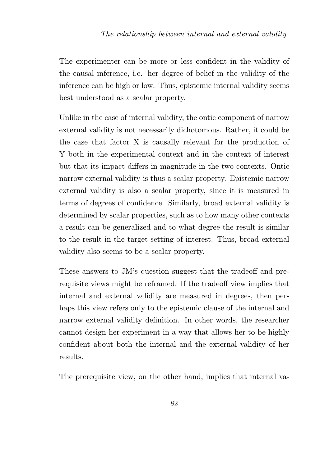The experimenter can be more or less confident in the validity of the causal inference, i.e. her degree of belief in the validity of the inference can be high or low. Thus, epistemic internal validity seems best understood as a scalar property.

Unlike in the case of internal validity, the ontic component of narrow external validity is not necessarily dichotomous. Rather, it could be the case that factor X is causally relevant for the production of Y both in the experimental context and in the context of interest but that its impact differs in magnitude in the two contexts. Ontic narrow external validity is thus a scalar property. Epistemic narrow external validity is also a scalar property, since it is measured in terms of degrees of confidence. Similarly, broad external validity is determined by scalar properties, such as to how many other contexts a result can be generalized and to what degree the result is similar to the result in the target setting of interest. Thus, broad external validity also seems to be a scalar property.

These answers to JM's question suggest that the tradeoff and prerequisite views might be reframed. If the tradeoff view implies that internal and external validity are measured in degrees, then perhaps this view refers only to the epistemic clause of the internal and narrow external validity definition. In other words, the researcher cannot design her experiment in a way that allows her to be highly confident about both the internal and the external validity of her results.

The prerequisite view, on the other hand, implies that internal va-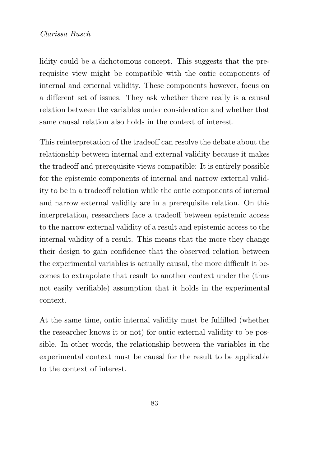lidity could be a dichotomous concept. This suggests that the prerequisite view might be compatible with the ontic components of internal and external validity. These components however, focus on a different set of issues. They ask whether there really is a causal relation between the variables under consideration and whether that same causal relation also holds in the context of interest.

This reinterpretation of the tradeoff can resolve the debate about the relationship between internal and external validity because it makes the tradeoff and prerequisite views compatible: It is entirely possible for the epistemic components of internal and narrow external validity to be in a tradeoff relation while the ontic components of internal and narrow external validity are in a prerequisite relation. On this interpretation, researchers face a tradeoff between epistemic access to the narrow external validity of a result and epistemic access to the internal validity of a result. This means that the more they change their design to gain confidence that the observed relation between the experimental variables is actually causal, the more difficult it becomes to extrapolate that result to another context under the (thus not easily verifiable) assumption that it holds in the experimental context.

At the same time, ontic internal validity must be fulfilled (whether the researcher knows it or not) for ontic external validity to be possible. In other words, the relationship between the variables in the experimental context must be causal for the result to be applicable to the context of interest.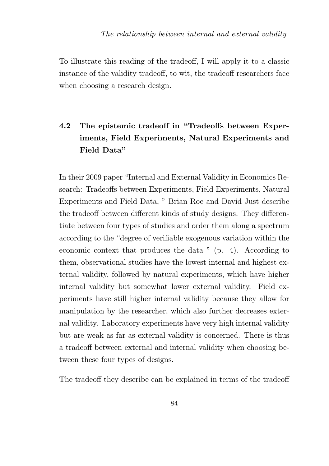To illustrate this reading of the tradeoff, I will apply it to a classic instance of the validity tradeoff, to wit, the tradeoff researchers face when choosing a research design.

# 4.2 The epistemic tradeoff in "Tradeoffs between Experiments, Field Experiments, Natural Experiments and Field Data"

In their 2009 paper "Internal and External Validity in Economics Research: Tradeoffs between Experiments, Field Experiments, Natural Experiments and Field Data, " Brian Roe and David Just describe the tradeoff between different kinds of study designs. They differentiate between four types of studies and order them along a spectrum according to the "degree of verifiable exogenous variation within the economic context that produces the data " (p. 4). According to them, observational studies have the lowest internal and highest external validity, followed by natural experiments, which have higher internal validity but somewhat lower external validity. Field experiments have still higher internal validity because they allow for manipulation by the researcher, which also further decreases external validity. Laboratory experiments have very high internal validity but are weak as far as external validity is concerned. There is thus a tradeoff between external and internal validity when choosing between these four types of designs.

The tradeoff they describe can be explained in terms of the tradeoff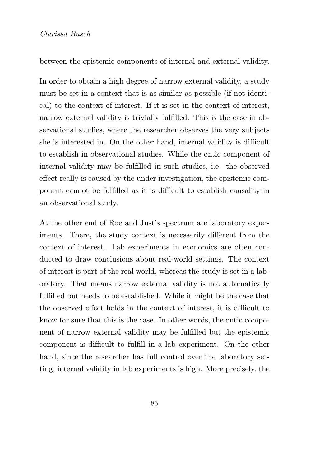between the epistemic components of internal and external validity.

In order to obtain a high degree of narrow external validity, a study must be set in a context that is as similar as possible (if not identical) to the context of interest. If it is set in the context of interest, narrow external validity is trivially fulfilled. This is the case in observational studies, where the researcher observes the very subjects she is interested in. On the other hand, internal validity is difficult to establish in observational studies. While the ontic component of internal validity may be fulfilled in such studies, i.e. the observed effect really is caused by the under investigation, the epistemic component cannot be fulfilled as it is difficult to establish causality in an observational study.

At the other end of Roe and Just's spectrum are laboratory experiments. There, the study context is necessarily different from the context of interest. Lab experiments in economics are often conducted to draw conclusions about real-world settings. The context of interest is part of the real world, whereas the study is set in a laboratory. That means narrow external validity is not automatically fulfilled but needs to be established. While it might be the case that the observed effect holds in the context of interest, it is difficult to know for sure that this is the case. In other words, the ontic component of narrow external validity may be fulfilled but the epistemic component is difficult to fulfill in a lab experiment. On the other hand, since the researcher has full control over the laboratory setting, internal validity in lab experiments is high. More precisely, the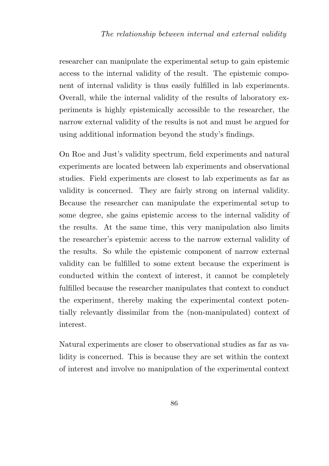researcher can manipulate the experimental setup to gain epistemic access to the internal validity of the result. The epistemic component of internal validity is thus easily fulfilled in lab experiments. Overall, while the internal validity of the results of laboratory experiments is highly epistemically accessible to the researcher, the narrow external validity of the results is not and must be argued for using additional information beyond the study's findings.

On Roe and Just's validity spectrum, field experiments and natural experiments are located between lab experiments and observational studies. Field experiments are closest to lab experiments as far as validity is concerned. They are fairly strong on internal validity. Because the researcher can manipulate the experimental setup to some degree, she gains epistemic access to the internal validity of the results. At the same time, this very manipulation also limits the researcher's epistemic access to the narrow external validity of the results. So while the epistemic component of narrow external validity can be fulfilled to some extent because the experiment is conducted within the context of interest, it cannot be completely fulfilled because the researcher manipulates that context to conduct the experiment, thereby making the experimental context potentially relevantly dissimilar from the (non-manipulated) context of interest.

Natural experiments are closer to observational studies as far as validity is concerned. This is because they are set within the context of interest and involve no manipulation of the experimental context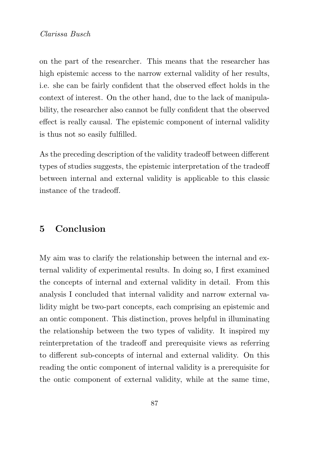on the part of the researcher. This means that the researcher has high epistemic access to the narrow external validity of her results, i.e. she can be fairly confident that the observed effect holds in the context of interest. On the other hand, due to the lack of manipulability, the researcher also cannot be fully confident that the observed effect is really causal. The epistemic component of internal validity is thus not so easily fulfilled.

As the preceding description of the validity tradeoff between different types of studies suggests, the epistemic interpretation of the tradeoff between internal and external validity is applicable to this classic instance of the tradeoff.

# 5 Conclusion

My aim was to clarify the relationship between the internal and external validity of experimental results. In doing so, I first examined the concepts of internal and external validity in detail. From this analysis I concluded that internal validity and narrow external validity might be two-part concepts, each comprising an epistemic and an ontic component. This distinction, proves helpful in illuminating the relationship between the two types of validity. It inspired my reinterpretation of the tradeoff and prerequisite views as referring to different sub-concepts of internal and external validity. On this reading the ontic component of internal validity is a prerequisite for the ontic component of external validity, while at the same time,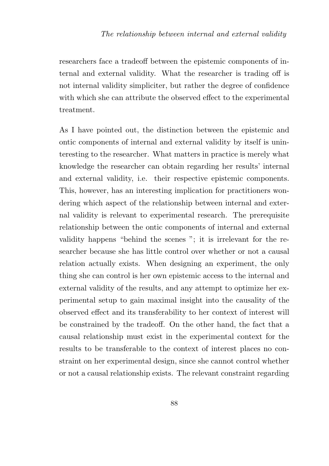researchers face a tradeoff between the epistemic components of internal and external validity. What the researcher is trading off is not internal validity simpliciter, but rather the degree of confidence with which she can attribute the observed effect to the experimental treatment.

As I have pointed out, the distinction between the epistemic and ontic components of internal and external validity by itself is uninteresting to the researcher. What matters in practice is merely what knowledge the researcher can obtain regarding her results' internal and external validity, i.e. their respective epistemic components. This, however, has an interesting implication for practitioners wondering which aspect of the relationship between internal and external validity is relevant to experimental research. The prerequisite relationship between the ontic components of internal and external validity happens "behind the scenes "; it is irrelevant for the researcher because she has little control over whether or not a causal relation actually exists. When designing an experiment, the only thing she can control is her own epistemic access to the internal and external validity of the results, and any attempt to optimize her experimental setup to gain maximal insight into the causality of the observed effect and its transferability to her context of interest will be constrained by the tradeoff. On the other hand, the fact that a causal relationship must exist in the experimental context for the results to be transferable to the context of interest places no constraint on her experimental design, since she cannot control whether or not a causal relationship exists. The relevant constraint regarding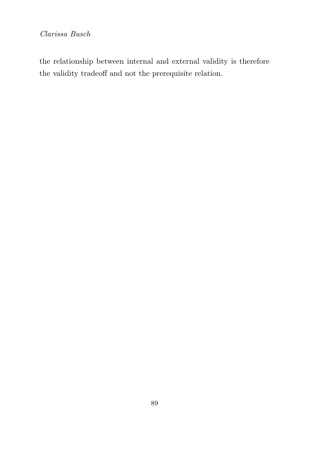the relationship between internal and external validity is therefore the validity tradeoff and not the prerequisite relation.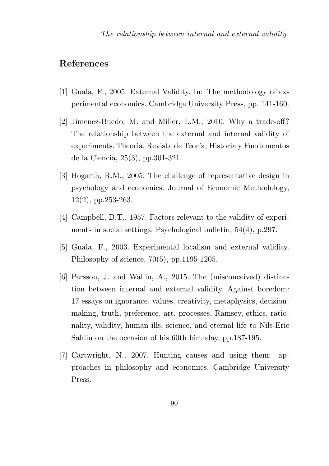## References

- [1] Guala, F., 2005. External Validity. In: The methodology of experimental economics. Cambridge University Press, pp. 141-160.
- [2] Jimenez-Buedo, M. and Miller, L.M., 2010. Why a trade-off? The relationship between the external and internal validity of experiments. Theoria. Revista de Teoría, Historia y Fundamentos de la Ciencia, 25(3), pp.301-321.
- [3] Hogarth, R.M., 2005. The challenge of representative design in psychology and economics. Journal of Economic Methodology, 12(2), pp.253-263.
- [4] Campbell, D.T., 1957. Factors relevant to the validity of experiments in social settings. Psychological bulletin, 54(4), p.297.
- [5] Guala, F., 2003. Experimental localism and external validity. Philosophy of science, 70(5), pp.1195-1205.
- [6] Persson, J. and Wallin, A., 2015. The (misconceived) distinction between internal and external validity. Against boredom: 17 essays on ignorance, values, creativity, metaphysics, decisionmaking, truth, preference, art, processes, Ramsey, ethics, rationality, validity, human ills, science, and eternal life to Nils-Eric Sahlin on the occasion of his 60th birthday, pp.187-195.
- [7] Cartwright, N., 2007. Hunting causes and using them: approaches in philosophy and economics. Cambridge University Press.